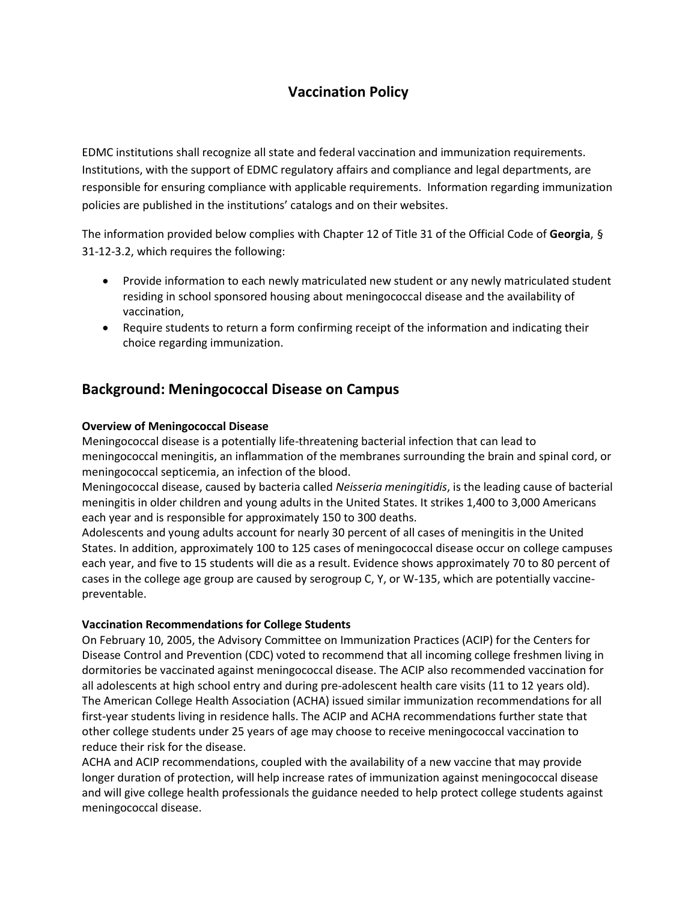# **Vaccination Policy**

EDMC institutions shall recognize all state and federal vaccination and immunization requirements. Institutions, with the support of EDMC regulatory affairs and compliance and legal departments, are responsible for ensuring compliance with applicable requirements. Information regarding immunization policies are published in the institutions' catalogs and on their websites.

The information provided below complies with Chapter 12 of Title 31 of the Official Code of **Georgia**, § 31-12-3.2, which requires the following:

- Provide information to each newly matriculated new student or any newly matriculated student residing in school sponsored housing about meningococcal disease and the availability of vaccination,
- Require students to return a form confirming receipt of the information and indicating their choice regarding immunization.

# **Background: Meningococcal Disease on Campus**

## **Overview of Meningococcal Disease**

Meningococcal disease is a potentially life-threatening bacterial infection that can lead to meningococcal meningitis, an inflammation of the membranes surrounding the brain and spinal cord, or meningococcal septicemia, an infection of the blood.

Meningococcal disease, caused by bacteria called *Neisseria meningitidis*, is the leading cause of bacterial meningitis in older children and young adults in the United States. It strikes 1,400 to 3,000 Americans each year and is responsible for approximately 150 to 300 deaths.

Adolescents and young adults account for nearly 30 percent of all cases of meningitis in the United States. In addition, approximately 100 to 125 cases of meningococcal disease occur on college campuses each year, and five to 15 students will die as a result. Evidence shows approximately 70 to 80 percent of cases in the college age group are caused by serogroup C, Y, or W-135, which are potentially vaccinepreventable.

## **Vaccination Recommendations for College Students**

On February 10, 2005, the Advisory Committee on Immunization Practices (ACIP) for the Centers for Disease Control and Prevention (CDC) voted to recommend that all incoming college freshmen living in dormitories be vaccinated against meningococcal disease. The ACIP also recommended vaccination for all adolescents at high school entry and during pre-adolescent health care visits (11 to 12 years old). The American College Health Association (ACHA) issued similar immunization recommendations for all first-year students living in residence halls. The ACIP and ACHA recommendations further state that other college students under 25 years of age may choose to receive meningococcal vaccination to reduce their risk for the disease.

ACHA and ACIP recommendations, coupled with the availability of a new vaccine that may provide longer duration of protection, will help increase rates of immunization against meningococcal disease and will give college health professionals the guidance needed to help protect college students against meningococcal disease.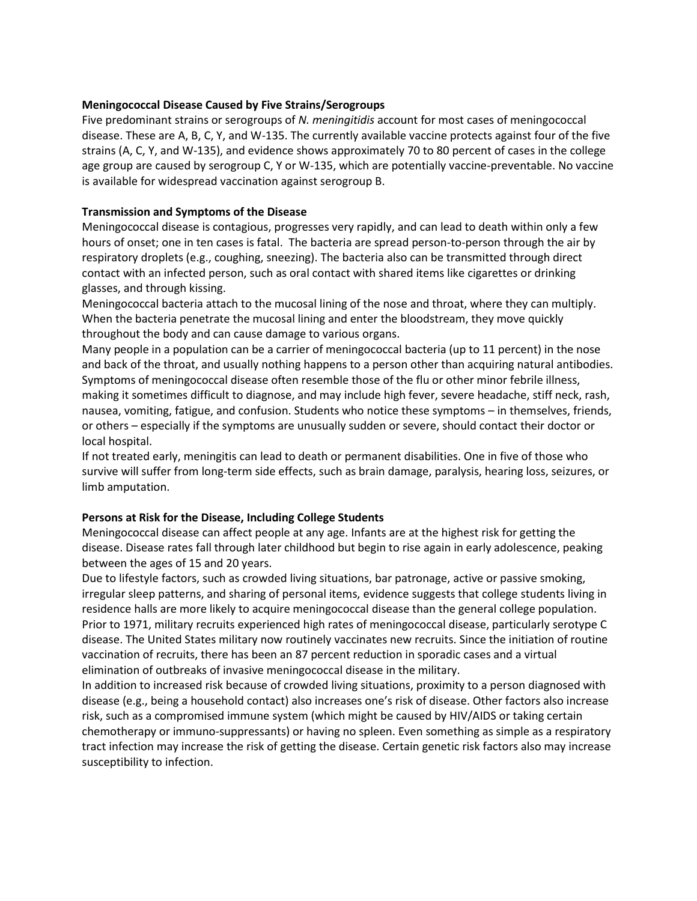## **Meningococcal Disease Caused by Five Strains/Serogroups**

Five predominant strains or serogroups of *N. meningitidis* account for most cases of meningococcal disease. These are A, B, C, Y, and W-135. The currently available vaccine protects against four of the five strains (A, C, Y, and W-135), and evidence shows approximately 70 to 80 percent of cases in the college age group are caused by serogroup C, Y or W-135, which are potentially vaccine-preventable. No vaccine is available for widespread vaccination against serogroup B.

## **Transmission and Symptoms of the Disease**

Meningococcal disease is contagious, progresses very rapidly, and can lead to death within only a few hours of onset; one in ten cases is fatal. The bacteria are spread person-to-person through the air by respiratory droplets (e.g., coughing, sneezing). The bacteria also can be transmitted through direct contact with an infected person, such as oral contact with shared items like cigarettes or drinking glasses, and through kissing.

Meningococcal bacteria attach to the mucosal lining of the nose and throat, where they can multiply. When the bacteria penetrate the mucosal lining and enter the bloodstream, they move quickly throughout the body and can cause damage to various organs.

Many people in a population can be a carrier of meningococcal bacteria (up to 11 percent) in the nose and back of the throat, and usually nothing happens to a person other than acquiring natural antibodies. Symptoms of meningococcal disease often resemble those of the flu or other minor febrile illness, making it sometimes difficult to diagnose, and may include high fever, severe headache, stiff neck, rash, nausea, vomiting, fatigue, and confusion. Students who notice these symptoms – in themselves, friends, or others – especially if the symptoms are unusually sudden or severe, should contact their doctor or local hospital.

If not treated early, meningitis can lead to death or permanent disabilities. One in five of those who survive will suffer from long-term side effects, such as brain damage, paralysis, hearing loss, seizures, or limb amputation.

#### **Persons at Risk for the Disease, Including College Students**

Meningococcal disease can affect people at any age. Infants are at the highest risk for getting the disease. Disease rates fall through later childhood but begin to rise again in early adolescence, peaking between the ages of 15 and 20 years.

Due to lifestyle factors, such as crowded living situations, bar patronage, active or passive smoking, irregular sleep patterns, and sharing of personal items, evidence suggests that college students living in residence halls are more likely to acquire meningococcal disease than the general college population. Prior to 1971, military recruits experienced high rates of meningococcal disease, particularly serotype C disease. The United States military now routinely vaccinates new recruits. Since the initiation of routine vaccination of recruits, there has been an 87 percent reduction in sporadic cases and a virtual elimination of outbreaks of invasive meningococcal disease in the military.

In addition to increased risk because of crowded living situations, proximity to a person diagnosed with disease (e.g., being a household contact) also increases one's risk of disease. Other factors also increase risk, such as a compromised immune system (which might be caused by HIV/AIDS or taking certain chemotherapy or immuno-suppressants) or having no spleen. Even something as simple as a respiratory tract infection may increase the risk of getting the disease. Certain genetic risk factors also may increase susceptibility to infection.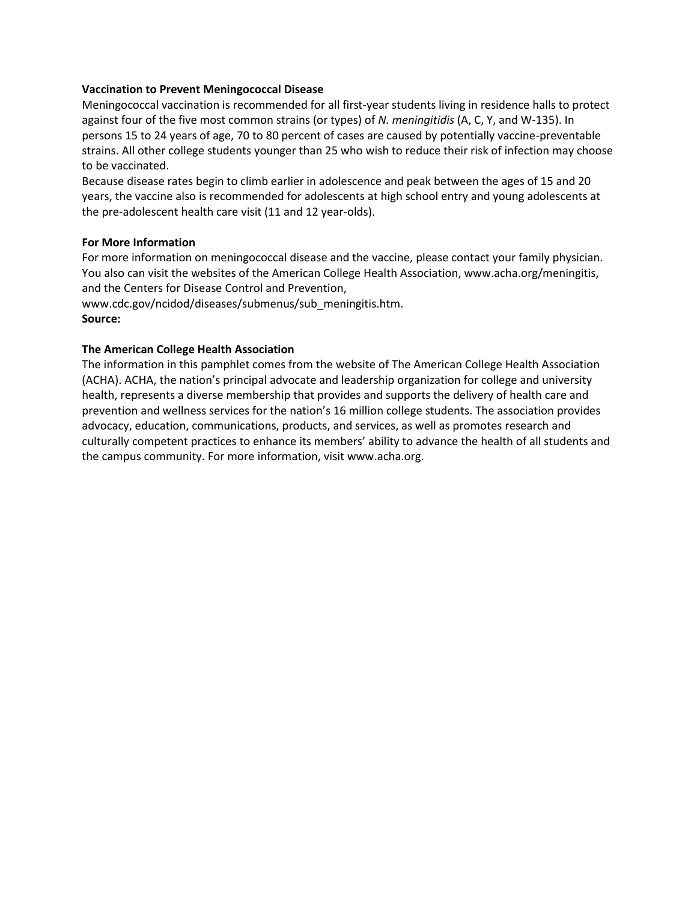## **Vaccination to Prevent Meningococcal Disease**

Meningococcal vaccination is recommended for all first-year students living in residence halls to protect against four of the five most common strains (or types) of *N. meningitidis* (A, C, Y, and W-135). In persons 15 to 24 years of age, 70 to 80 percent of cases are caused by potentially vaccine-preventable strains. All other college students younger than 25 who wish to reduce their risk of infection may choose to be vaccinated.

Because disease rates begin to climb earlier in adolescence and peak between the ages of 15 and 20 years, the vaccine also is recommended for adolescents at high school entry and young adolescents at the pre-adolescent health care visit (11 and 12 year-olds).

## **For More Information**

For more information on meningococcal disease and the vaccine, please contact your family physician. You also can visit the websites of the American College Health Association, www.acha.org/meningitis, and the Centers for Disease Control and Prevention,

www.cdc.gov/ncidod/diseases/submenus/sub\_meningitis.htm. **Source:** 

## **The American College Health Association**

The information in this pamphlet comes from the website of The American College Health Association (ACHA). ACHA, the nation's principal advocate and leadership organization for college and university health, represents a diverse membership that provides and supports the delivery of health care and prevention and wellness services for the nation's 16 million college students. The association provides advocacy, education, communications, products, and services, as well as promotes research and culturally competent practices to enhance its members' ability to advance the health of all students and the campus community. For more information, visit www.acha.org.